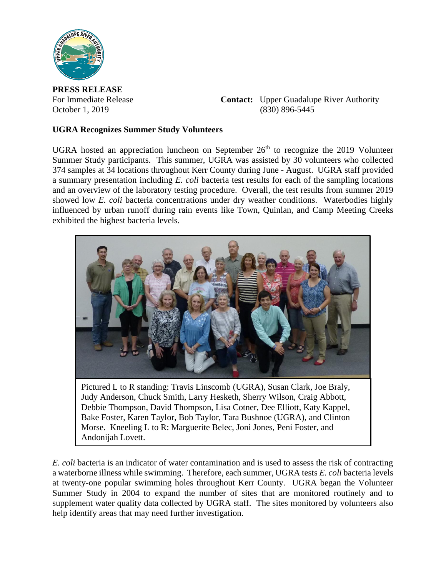

**PRESS RELEASE**

For Immediate Release **Contact:** Upper Guadalupe River Authority October 1, 2019 (830) 896-5445

## **UGRA Recognizes Summer Study Volunteers**

UGRA hosted an appreciation luncheon on September  $26<sup>th</sup>$  to recognize the 2019 Volunteer Summer Study participants. This summer, UGRA was assisted by 30 volunteers who collected 374 samples at 34 locations throughout Kerr County during June - August. UGRA staff provided a summary presentation including *E. coli* bacteria test results for each of the sampling locations and an overview of the laboratory testing procedure. Overall, the test results from summer 2019 showed low *E. coli* bacteria concentrations under dry weather conditions. Waterbodies highly influenced by urban runoff during rain events like Town, Quinlan, and Camp Meeting Creeks exhibited the highest bacteria levels.



Pictured L to R standing: Travis Linscomb (UGRA), Susan Clark, Joe Braly, Judy Anderson, Chuck Smith, Larry Hesketh, Sherry Wilson, Craig Abbott, Debbie Thompson, David Thompson, Lisa Cotner, Dee Elliott, Katy Kappel, Bake Foster, Karen Taylor, Bob Taylor, Tara Bushnoe (UGRA), and Clinton Morse. Kneeling L to R: Marguerite Belec, Joni Jones, Peni Foster, and Andonijah Lovett.

*E. coli* bacteria is an indicator of water contamination and is used to assess the risk of contracting a waterborne illness while swimming. Therefore, each summer, UGRA tests *E. coli* bacteria levels at twenty-one popular swimming holes throughout Kerr County. UGRA began the Volunteer Summer Study in 2004 to expand the number of sites that are monitored routinely and to supplement water quality data collected by UGRA staff. The sites monitored by volunteers also help identify areas that may need further investigation.